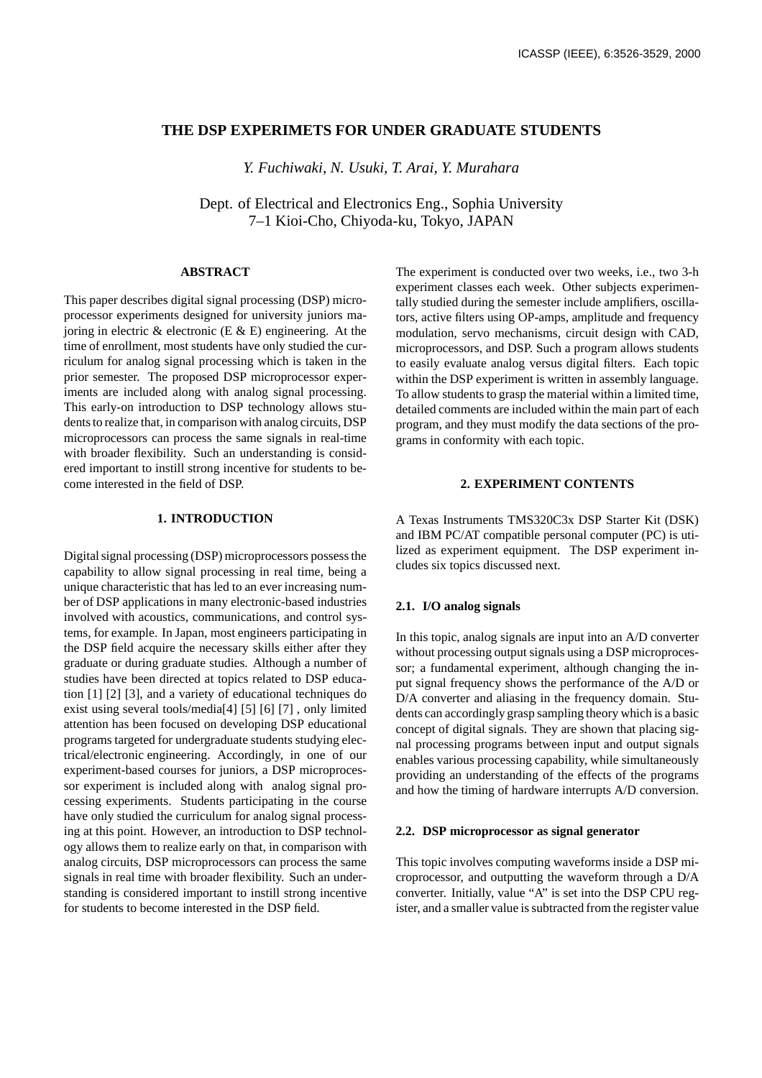# **THE DSP EXPERIMETS FOR UNDER GRADUATE STUDENTS**

*Y. Fuchiwaki, N. Usuki, T. Arai, Y. Murahara*

Dept. of Electrical and Electronics Eng., Sophia University 7–1 Kioi-Cho, Chiyoda-ku, Tokyo, JAPAN

# **ABSTRACT**

This paper describes digital signal processing (DSP) microprocessor experiments designed for university juniors majoring in electric  $\&$  electronic (E  $\&$  E) engineering. At the time of enrollment, most students have only studied the curriculum for analog signal processing which is taken in the prior semester. The proposed DSP microprocessor experiments are included along with analog signal processing. This early-on introduction to DSP technology allows students to realize that, in comparison with analog circuits, DSP microprocessors can process the same signals in real-time with broader flexibility. Such an understanding is considered important to instill strong incentive for students to become interested in the field of DSP.

# **1. INTRODUCTION**

Digital signal processing (DSP) microprocessors possess the capability to allow signal processing in real time, being a unique characteristic that has led to an ever increasing number of DSP applications in many electronic-based industries involved with acoustics, communications, and control systems, for example. In Japan, most engineers participating in the DSP field acquire the necessary skills either after they graduate or during graduate studies. Although a number of studies have been directed at topics related to DSP education [1] [2] [3], and a variety of educational techniques do exist using several tools/media[4] [5] [6] [7] , only limited attention has been focused on developing DSP educational programs targeted for undergraduate students studying electrical/electronic engineering. Accordingly, in one of our experiment-based courses for juniors, a DSP microprocessor experiment is included along with analog signal processing experiments. Students participating in the course have only studied the curriculum for analog signal processing at this point. However, an introduction to DSP technology allows them to realize early on that, in comparison with analog circuits, DSP microprocessors can process the same signals in real time with broader flexibility. Such an understanding is considered important to instill strong incentive for students to become interested in the DSP field.

The experiment is conducted over two weeks, i.e., two 3-h experiment classes each week. Other subjects experimentally studied during the semester include amplifiers, oscillators, active filters using OP-amps, amplitude and frequency modulation, servo mechanisms, circuit design with CAD, microprocessors, and DSP. Such a program allows students to easily evaluate analog versus digital filters. Each topic within the DSP experiment is written in assembly language. To allow students to grasp the material within a limited time, detailed comments are included within the main part of each program, and they must modify the data sections of the programs in conformity with each topic.

## **2. EXPERIMENT CONTENTS**

A Texas Instruments TMS320C3x DSP Starter Kit (DSK) and IBM PC/AT compatible personal computer (PC) is utilized as experiment equipment. The DSP experiment includes six topics discussed next.

## **2.1. I/O analog signals**

In this topic, analog signals are input into an A/D converter without processing output signals using a DSP microprocessor; a fundamental experiment, although changing the input signal frequency shows the performance of the A/D or D/A converter and aliasing in the frequency domain. Students can accordingly grasp sampling theory which is a basic concept of digital signals. They are shown that placing signal processing programs between input and output signals enables various processing capability, while simultaneously providing an understanding of the effects of the programs and how the timing of hardware interrupts A/D conversion.

#### **2.2. DSP microprocessor as signal generator**

This topic involves computing waveforms inside a DSP microprocessor, and outputting the waveform through a D/A converter. Initially, value "A" is set into the DSP CPU register, and a smaller value is subtracted from the register value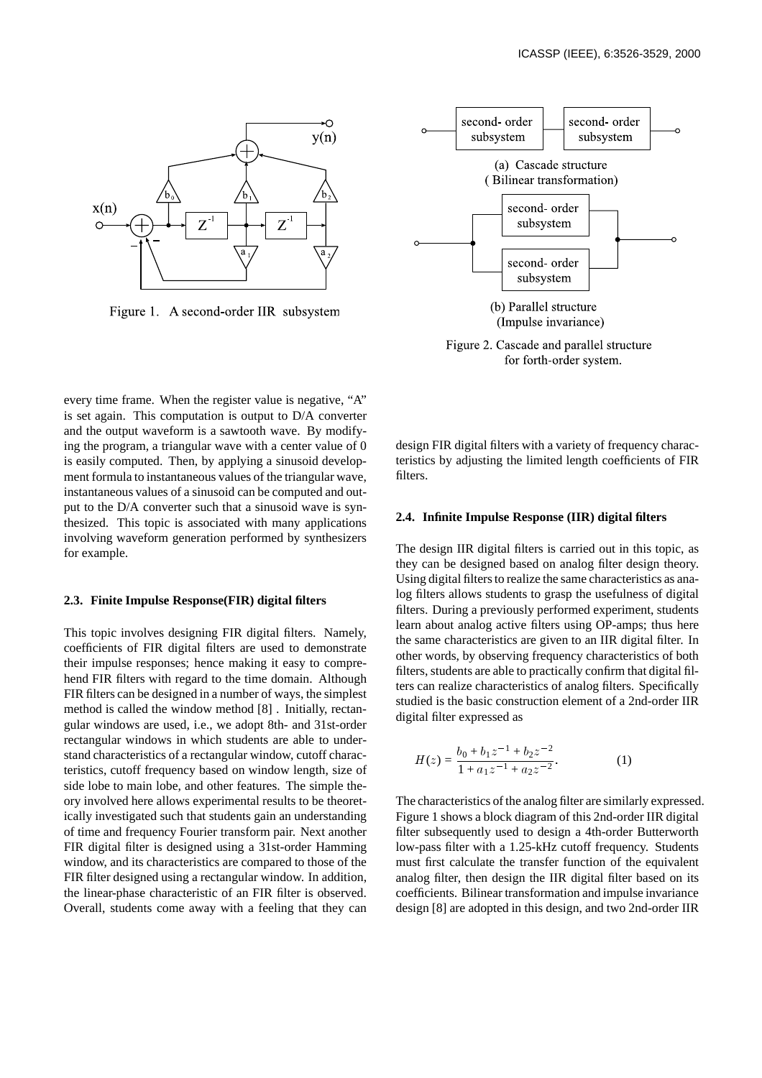

Figure 1. A second-order IIR subsystem



Figure 2. Cascade and parallel structure for forth-order system.

every time frame. When the register value is negative, "A" is set again. This computation is output to D/A converter and the output waveform is a sawtooth wave. By modifying the program, a triangular wave with a center value of 0 is easily computed. Then, by applying a sinusoid development formula to instantaneous values of the triangular wave, instantaneous values of a sinusoid can be computed and output to the D/A converter such that a sinusoid wave is synthesized. This topic is associated with many applications involving waveform generation performed by synthesizers for example.

# **2.3. Finite Impulse Response(FIR) digital filters**

This topic involves designing FIR digital filters. Namely, coefficients of FIR digital filters are used to demonstrate their impulse responses; hence making it easy to comprehend FIR filters with regard to the time domain. Although FIR filters can be designed in a number of ways, the simplest method is called the window method [8] . Initially, rectangular windows are used, i.e., we adopt 8th- and 31st-order rectangular windows in which students are able to understand characteristics of a rectangular window, cutoff characteristics, cutoff frequency based on window length, size of side lobe to main lobe, and other features. The simple theory involved here allows experimental results to be theoretically investigated such that students gain an understanding of time and frequency Fourier transform pair. Next another FIR digital filter is designed using a 31st-order Hamming window, and its characteristics are compared to those of the FIR filter designed using a rectangular window. In addition, the linear-phase characteristic of an FIR filter is observed. Overall, students come away with a feeling that they can design FIR digital filters with a variety of frequency characteristics by adjusting the limited length coefficients of FIR filters.

#### **2.4. Infinite Impulse Response (IIR) digital filters**

The design IIR digital filters is carried out in this topic, as they can be designed based on analog filter design theory. Using digital filters to realize the same characteristics as analog filters allows students to grasp the usefulness of digital filters. During a previously performed experiment, students learn about analog active filters using OP-amps; thus here the same characteristics are given to an IIR digital filter. In other words, by observing frequency characteristics of both filters, students are able to practically confirm that digital filters can realize characteristics of analog filters. Specifically studied is the basic construction element of a 2nd-order IIR digital filter expressed as

$$
H(z) = \frac{b_0 + b_1 z^{-1} + b_2 z^{-2}}{1 + a_1 z^{-1} + a_2 z^{-2}}.
$$
 (1)

The characteristics of the analog filter are similarly expressed. Figure 1 shows a block diagram of this 2nd-order IIR digital filter subsequently used to design a 4th-order Butterworth low-pass filter with a 1.25-kHz cutoff frequency. Students must first calculate the transfer function of the equivalent analog filter, then design the IIR digital filter based on its coefficients. Bilinear transformation and impulse invariance design [8] are adopted in this design, and two 2nd-order IIR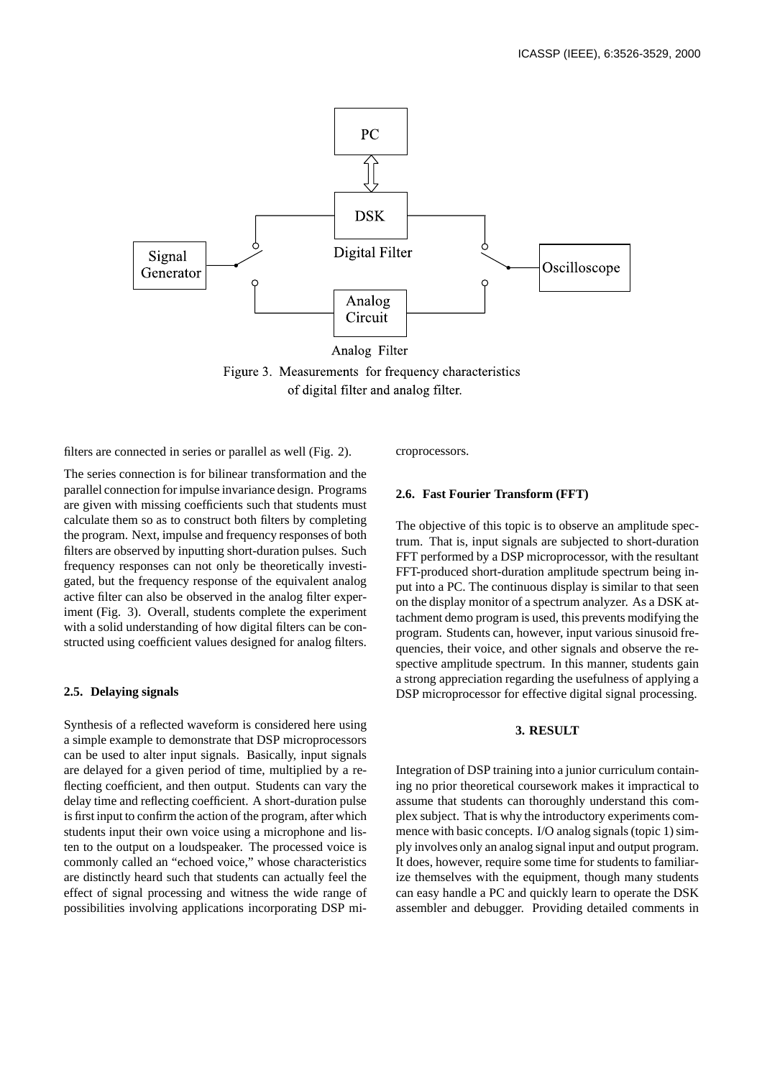

Figure 3. Measurements for frequency characteristics of digital filter and analog filter.

filters are connected in series or parallel as well (Fig. 2).

The series connection is for bilinear transformation and the parallel connection for impulse invariance design. Programs are given with missing coefficients such that students must calculate them so as to construct both filters by completing the program. Next, impulse and frequency responses of both filters are observed by inputting short-duration pulses. Such frequency responses can not only be theoretically investigated, but the frequency response of the equivalent analog active filter can also be observed in the analog filter experiment (Fig. 3). Overall, students complete the experiment with a solid understanding of how digital filters can be constructed using coefficient values designed for analog filters.

### **2.5. Delaying signals**

Synthesis of a reflected waveform is considered here using a simple example to demonstrate that DSP microprocessors can be used to alter input signals. Basically, input signals are delayed for a given period of time, multiplied by a reflecting coefficient, and then output. Students can vary the delay time and reflecting coefficient. A short-duration pulse is first input to confirm the action of the program, after which students input their own voice using a microphone and listen to the output on a loudspeaker. The processed voice is commonly called an "echoed voice," whose characteristics are distinctly heard such that students can actually feel the effect of signal processing and witness the wide range of possibilities involving applications incorporating DSP microprocessors.

## **2.6. Fast Fourier Transform (FFT)**

The objective of this topic is to observe an amplitude spectrum. That is, input signals are subjected to short-duration FFT performed by a DSP microprocessor, with the resultant FFT-produced short-duration amplitude spectrum being input into a PC. The continuous display is similar to that seen on the display monitor of a spectrum analyzer. As a DSK attachment demo program is used, this prevents modifying the program. Students can, however, input various sinusoid frequencies, their voice, and other signals and observe the respective amplitude spectrum. In this manner, students gain a strong appreciation regarding the usefulness of applying a DSP microprocessor for effective digital signal processing.

#### **3. RESULT**

Integration of DSP training into a junior curriculum containing no prior theoretical coursework makes it impractical to assume that students can thoroughly understand this complex subject. That is why the introductory experiments commence with basic concepts. I/O analog signals (topic 1) simply involves only an analog signal input and output program. It does, however, require some time for students to familiarize themselves with the equipment, though many students can easy handle a PC and quickly learn to operate the DSK assembler and debugger. Providing detailed comments in